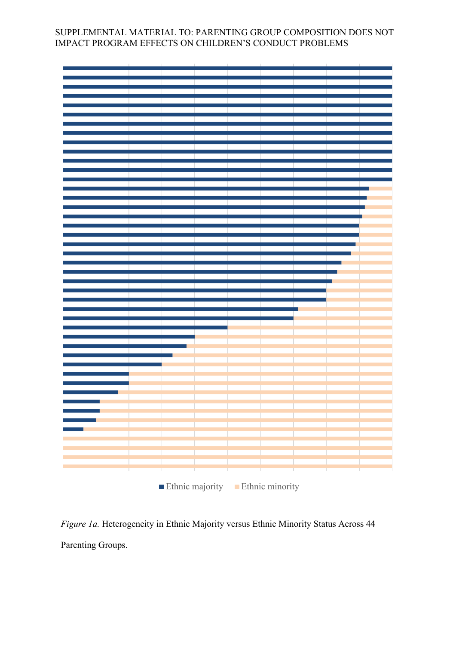| Ethnic majority Ethnic minority |  |  |  |  |  |
|---------------------------------|--|--|--|--|--|
|                                 |  |  |  |  |  |
|                                 |  |  |  |  |  |
|                                 |  |  |  |  |  |
|                                 |  |  |  |  |  |
|                                 |  |  |  |  |  |
|                                 |  |  |  |  |  |
|                                 |  |  |  |  |  |
|                                 |  |  |  |  |  |
|                                 |  |  |  |  |  |
|                                 |  |  |  |  |  |
|                                 |  |  |  |  |  |
|                                 |  |  |  |  |  |
|                                 |  |  |  |  |  |
|                                 |  |  |  |  |  |
|                                 |  |  |  |  |  |
|                                 |  |  |  |  |  |
|                                 |  |  |  |  |  |
|                                 |  |  |  |  |  |
|                                 |  |  |  |  |  |
|                                 |  |  |  |  |  |
|                                 |  |  |  |  |  |
|                                 |  |  |  |  |  |
|                                 |  |  |  |  |  |
|                                 |  |  |  |  |  |
|                                 |  |  |  |  |  |
|                                 |  |  |  |  |  |
|                                 |  |  |  |  |  |
|                                 |  |  |  |  |  |
|                                 |  |  |  |  |  |
|                                 |  |  |  |  |  |
|                                 |  |  |  |  |  |
|                                 |  |  |  |  |  |
|                                 |  |  |  |  |  |
|                                 |  |  |  |  |  |
|                                 |  |  |  |  |  |
|                                 |  |  |  |  |  |
|                                 |  |  |  |  |  |
|                                 |  |  |  |  |  |
|                                 |  |  |  |  |  |
|                                 |  |  |  |  |  |
|                                 |  |  |  |  |  |
|                                 |  |  |  |  |  |
|                                 |  |  |  |  |  |
|                                 |  |  |  |  |  |
|                                 |  |  |  |  |  |
|                                 |  |  |  |  |  |
|                                 |  |  |  |  |  |
|                                 |  |  |  |  |  |
|                                 |  |  |  |  |  |
|                                 |  |  |  |  |  |
|                                 |  |  |  |  |  |
|                                 |  |  |  |  |  |
|                                 |  |  |  |  |  |
|                                 |  |  |  |  |  |
|                                 |  |  |  |  |  |
|                                 |  |  |  |  |  |
|                                 |  |  |  |  |  |
|                                 |  |  |  |  |  |
|                                 |  |  |  |  |  |
|                                 |  |  |  |  |  |
|                                 |  |  |  |  |  |
|                                 |  |  |  |  |  |

*Figure 1a.* Heterogeneity in Ethnic Majority versus Ethnic Minority Status Across 44 Parenting Groups.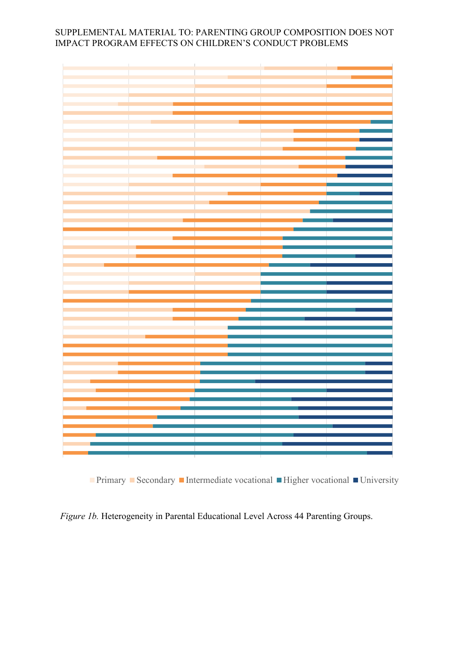**Primary Secondary Intermediate vocational Integrational III** University

 *Figure 1b.* Heterogeneity in Parental Educational Level Across 44 Parenting Groups.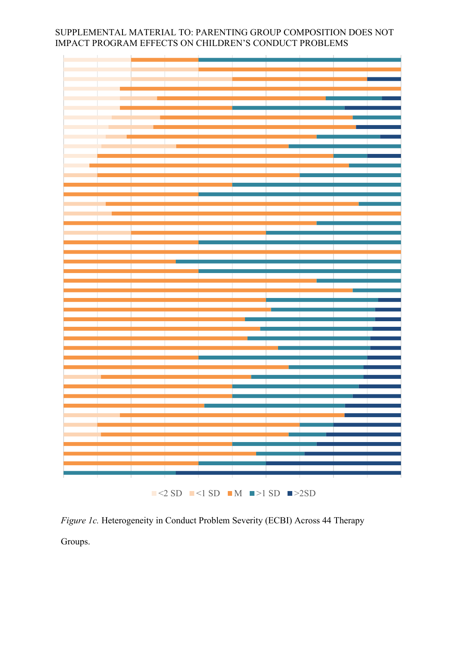|  | $\blacksquare$ <2 SD $\blacksquare$ <1 SD $\blacksquare$ M $\blacksquare$ >1 SD $\blacksquare$ >2SD |  |  |  |
|--|-----------------------------------------------------------------------------------------------------|--|--|--|
|  |                                                                                                     |  |  |  |

*Figure 1c.* Heterogeneity in Conduct Problem Severity (ECBI) Across 44 Therapy Groups.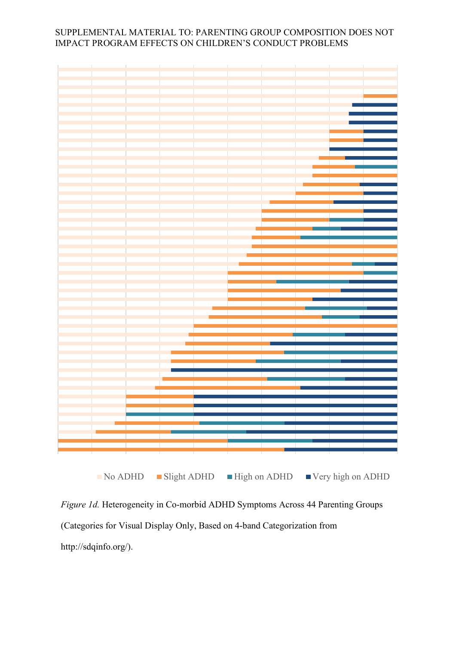

*Figure 1d.* Heterogeneity in Co-morbid ADHD Symptoms Across 44 Parenting Groups (Categories for Visual Display Only, Based on 4-band Categorization from http://sdqinfo.org/).